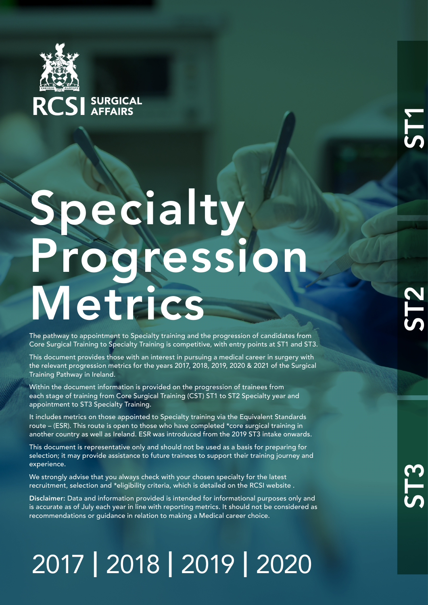

## Specialty Progression Metrics

The pathway to appointment to Specialty training and the progression of candidates from Core Surgical Training to Specialty Training is competitive, with entry points at ST1 and ST3.

This document provides those with an interest in pursuing a medical career in surgery with the relevant progression metrics for the years 2017, 2018, 2019, 2020 & 2021 of the Surgical Training Pathway in Ireland.

Within the document information is provided on the progression of trainees from each stage of training from Core Surgical Training (CST) ST1 to ST2 Specialty year and appointment to ST3 Specialty Training.

It includes metrics on those appointed to Specialty training via the Equivalent Standards route – (ESR). This route is open to those who have completed \*core surgical training in another country as well as Ireland. ESR was introduced from the 2019 ST3 intake onwards.

This document is representative only and should not be used as a basis for preparing for selection; it may provide assistance to future trainees to support their training journey and experience.

We strongly advise that you always check with your chosen specialty for the latest recruitment, selection and \*eligibility criteria, which is detailed on the RCSI website .

Disclaimer: Data and information provided is intended for informational purposes only and is accurate as of July each year in line with reporting metrics. It should not be considered as recommendations or guidance in relation to making a Medical career choice.

## 2017 | 2018 | 2019 | 2020

**ST1**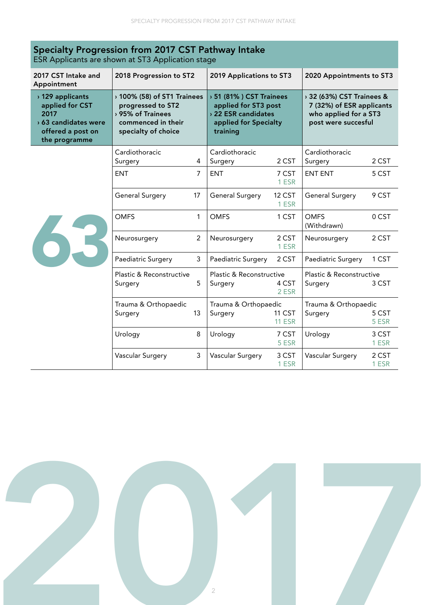| Specialty Progression from 2017 CST Pathway Intake<br>ESR Applicants are shown at ST3 Application stage   |                                                                                     |                             |                                                            |                                                                                                             |                                                   |                                                                                                        |  |
|-----------------------------------------------------------------------------------------------------------|-------------------------------------------------------------------------------------|-----------------------------|------------------------------------------------------------|-------------------------------------------------------------------------------------------------------------|---------------------------------------------------|--------------------------------------------------------------------------------------------------------|--|
| 2017 CST Intake and<br>Appointment                                                                        | 2018 Progression to ST2                                                             |                             | 2019 Applications to ST3                                   |                                                                                                             | 2020 Appointments to ST3                          |                                                                                                        |  |
| > 129 applicants<br>applied for CST<br>2017<br>> 63 candidates were<br>offered a post on<br>the programme | progressed to ST2<br>> 95% of Trainees<br>commenced in their<br>specialty of choice | > 100% (58) of ST1 Trainees |                                                            | > 51 (81%) CST Trainees<br>applied for ST3 post<br>> 22 ESR candidates<br>applied for Specialty<br>training |                                                   | > 32 (63%) CST Trainees &<br>7 (32%) of ESR applicants<br>who applied for a ST3<br>post were succesful |  |
| 63                                                                                                        | Cardiothoracic<br>Surgery                                                           | 4                           | Cardiothoracic<br>Surgery                                  | 2 CST                                                                                                       | Cardiothoracic<br>Surgery                         | 2 CST                                                                                                  |  |
|                                                                                                           | <b>ENT</b>                                                                          | $\overline{7}$              | <b>ENT</b>                                                 | 7 CST<br>1 ESR                                                                                              | <b>ENT ENT</b>                                    | 5 CST                                                                                                  |  |
|                                                                                                           | <b>General Surgery</b>                                                              | 17                          | <b>General Surgery</b>                                     | 12 CST<br>1 ESR                                                                                             | <b>General Surgery</b>                            | 9 CST                                                                                                  |  |
|                                                                                                           | <b>OMFS</b>                                                                         | 1                           | <b>OMFS</b>                                                | 1 CST                                                                                                       | <b>OMFS</b><br>(Withdrawn)                        | 0 CST                                                                                                  |  |
|                                                                                                           | Neurosurgery                                                                        | $\overline{2}$              | Neurosurgery                                               | 2 CST<br>1 ESR                                                                                              | Neurosurgery                                      | 2 CST                                                                                                  |  |
|                                                                                                           | Paediatric Surgery                                                                  | 3                           | Paediatric Surgery                                         | 2 CST                                                                                                       | Paediatric Surgery                                | 1 CST                                                                                                  |  |
|                                                                                                           | Plastic & Reconstructive<br>Surgery                                                 | 5                           | Plastic & Reconstructive<br>4 CST<br>Surgery<br>2 FSR      |                                                                                                             | Plastic & Reconstructive<br>3 CST<br>Surgery      |                                                                                                        |  |
|                                                                                                           | Trauma & Orthopaedic<br>Surgery                                                     | 13                          | Trauma & Orthopaedic<br>11 CST<br>Surgery<br><b>11 ESR</b> |                                                                                                             | Trauma & Orthopaedic<br>5 CST<br>Surgery<br>5 ESR |                                                                                                        |  |
|                                                                                                           | Urology                                                                             | 8                           | Urology                                                    | 7 CST<br>5 ESR                                                                                              | Urology                                           | 3 CST<br>1 ESR                                                                                         |  |
|                                                                                                           | Vascular Surgery                                                                    | 3                           | Vascular Surgery                                           | 3 CST<br>1 ESR                                                                                              | Vascular Surgery                                  | 2 CST<br>1 ESR                                                                                         |  |

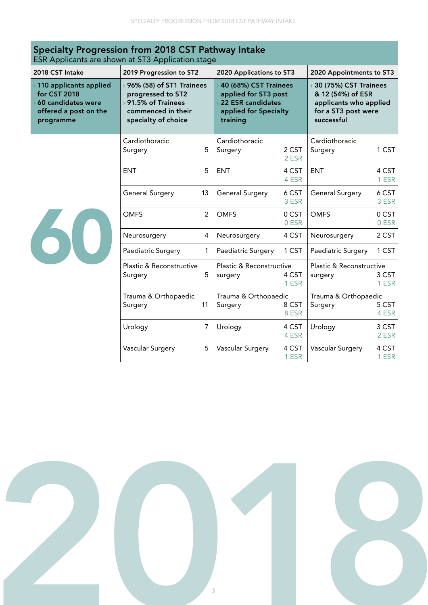| Specialty Progression from 2018 CST Pathway Intake<br>ESR Applicants are shown at ST3 Application stage          |                                                                                                                     |    |                                                                                                                |                |                                                                                                             |                |
|------------------------------------------------------------------------------------------------------------------|---------------------------------------------------------------------------------------------------------------------|----|----------------------------------------------------------------------------------------------------------------|----------------|-------------------------------------------------------------------------------------------------------------|----------------|
| 2018 CST Intake                                                                                                  | 2019 Progression to ST2                                                                                             |    | 2020 Applications to ST3                                                                                       |                | 2020 Appointments to ST3                                                                                    |                |
| $\rightarrow$ 110 applicants applied<br>for CST 2018<br>60 candidates were<br>offered a post on the<br>programme | → 96% (58) of ST1 Trainees<br>progressed to ST2<br>› 91.5% of Trainees<br>commenced in their<br>specialty of choice |    | <b>40 (68%) CST Trainees</b><br>applied for ST3 post<br>22 ESR candidates<br>applied for Specialty<br>training |                | → 30 (75%) CST Trainees<br>& 12 (54%) of ESR<br>applicants who applied<br>for a ST3 post were<br>successful |                |
|                                                                                                                  | Cardiothoracic<br>Surgery                                                                                           | 5  | Cardiothoracic<br>Surgery                                                                                      | 2 CST<br>2 ESR | Cardiothoracic<br>Surgery                                                                                   | 1 CST          |
| 60                                                                                                               | <b>ENT</b>                                                                                                          | 5  | <b>ENT</b>                                                                                                     | 4 CST<br>4 ESR | <b>ENT</b>                                                                                                  | 4 CST<br>1 ESR |
|                                                                                                                  | General Surgery                                                                                                     | 13 | General Surgery                                                                                                | 6 CST<br>3 ESR | <b>General Surgery</b>                                                                                      | 6 CST<br>3 ESR |
|                                                                                                                  | <b>OMFS</b>                                                                                                         | 2  | <b>OMFS</b>                                                                                                    | 0 CST<br>0 ESR | <b>OMFS</b>                                                                                                 | 0 CST<br>0 ESR |
|                                                                                                                  | Neurosurgery                                                                                                        | 4  | Neurosurgery                                                                                                   | 4 CST          | Neurosurgery                                                                                                | 2 CST          |
|                                                                                                                  | Paediatric Surgery                                                                                                  | 1  | Paediatric Surgery                                                                                             | 1 CST          | Paediatric Surgery                                                                                          | 1 CST          |
|                                                                                                                  | Plastic & Reconstructive<br>Surgery                                                                                 | 5  | Plastic & Reconstructive<br>surgery                                                                            | 4 CST<br>1 ESR | Plastic & Reconstructive<br>surgery                                                                         | 3 CST<br>1 ESR |
|                                                                                                                  | Trauma & Orthopaedic<br>11<br>Surgery                                                                               |    | Trauma & Orthopaedic<br>Surgery<br>8 CST<br>8 ESR                                                              |                | Trauma & Orthopaedic<br>Surgery<br>5 CST<br>4 ESR                                                           |                |
|                                                                                                                  | Urology                                                                                                             | 7  | Urology                                                                                                        | 4 CST<br>4 ESR | Urology                                                                                                     | 3 CST<br>2 ESR |
|                                                                                                                  | Vascular Surgery                                                                                                    | 5  | Vascular Surgery                                                                                               | 4 CST<br>1 ESR | Vascular Surgery                                                                                            | 4 CST<br>1 ESR |

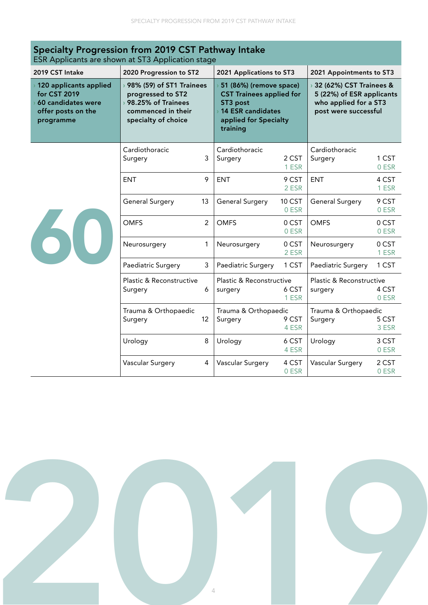| Specialty Progression from 2019 CST Pathway Intake<br>ESR Applicants are shown at ST3 Application stage       |                                                                                                                      |                |                                                                                                                                         |                 |                                                                                                       |                |
|---------------------------------------------------------------------------------------------------------------|----------------------------------------------------------------------------------------------------------------------|----------------|-----------------------------------------------------------------------------------------------------------------------------------------|-----------------|-------------------------------------------------------------------------------------------------------|----------------|
| 2019 CST Intake                                                                                               | 2020 Progression to ST2                                                                                              |                | 2021 Applications to ST3                                                                                                                |                 | 2021 Appointments to ST3                                                                              |                |
| $\rightarrow$ 120 applicants applied<br>for CST 2019<br>60 candidates were<br>offer posts on the<br>programme | → 98% (59) of ST1 Trainees<br>progressed to ST2<br>> 98.25% of Trainees<br>commenced in their<br>specialty of choice |                | 51 (86%) (remove space)<br><b>CST Trainees applied for</b><br>ST3 post<br><b>14 ESR candidates</b><br>applied for Specialty<br>training |                 | 32 (62%) CST Trainees &<br>5 (22%) of ESR applicants<br>who applied for a ST3<br>post were successful |                |
|                                                                                                               | Cardiothoracic<br>Surgery                                                                                            | 3              | Cardiothoracic<br>Surgery                                                                                                               | 2 CST<br>1 ESR  | Cardiothoracic<br>Surgery                                                                             | 1 CST<br>0 ESR |
| 60                                                                                                            | <b>ENT</b>                                                                                                           | 9              | <b>ENT</b>                                                                                                                              | 9 CST<br>2 ESR  | <b>ENT</b>                                                                                            | 4 CST<br>1 ESR |
|                                                                                                               | <b>General Surgery</b>                                                                                               | 13             | <b>General Surgery</b>                                                                                                                  | 10 CST<br>0 ESR | <b>General Surgery</b>                                                                                | 9 CST<br>0 ESR |
|                                                                                                               | <b>OMFS</b>                                                                                                          | $\overline{2}$ | <b>OMFS</b>                                                                                                                             | 0 CST<br>0 ESR  | <b>OMFS</b>                                                                                           | 0 CST<br>0 ESR |
|                                                                                                               | Neurosurgery                                                                                                         | 1              | Neurosurgery                                                                                                                            | 0 CST<br>2 ESR  | Neurosurgery                                                                                          | 0 CST<br>1 ESR |
|                                                                                                               | Paediatric Surgery                                                                                                   | 3              | Paediatric Surgery                                                                                                                      | 1 CST           | Paediatric Surgery                                                                                    | 1 CST          |
|                                                                                                               | Plastic & Reconstructive<br>Surgery                                                                                  | 6              | Plastic & Reconstructive<br>surgery                                                                                                     | 6 CST<br>1 ESR  | Plastic & Reconstructive<br>surgery                                                                   | 4 CST<br>0 ESR |
|                                                                                                               | Trauma & Orthopaedic<br>Surgery                                                                                      | 12             | Trauma & Orthopaedic<br>9 CST<br>Surgery<br>4 ESR                                                                                       |                 | Trauma & Orthopaedic<br>Surgery                                                                       | 5 CST<br>3 ESR |
|                                                                                                               | Urology                                                                                                              | 8              | Urology                                                                                                                                 | 6 CST<br>4 ESR  | Urology                                                                                               | 3 CST<br>0 ESR |
|                                                                                                               | Vascular Surgery                                                                                                     | 4              | Vascular Surgery                                                                                                                        | 4 CST<br>0 ESR  | Vascular Surgery                                                                                      | 2 CST<br>0 ESR |

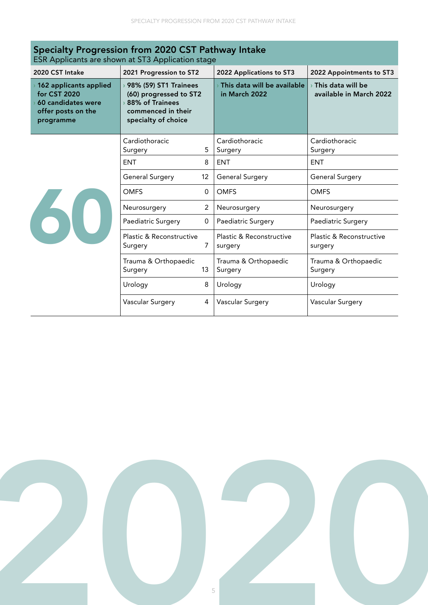| Specialty Progression from 2020 CST Pathway Intake<br>ESR Applicants are shown at ST3 Application stage       |                                                                                                                   |                                              |                                                            |  |  |  |
|---------------------------------------------------------------------------------------------------------------|-------------------------------------------------------------------------------------------------------------------|----------------------------------------------|------------------------------------------------------------|--|--|--|
| 2020 CST Intake                                                                                               | 2021 Progression to ST2                                                                                           | 2022 Applications to ST3                     | 2022 Appointments to ST3                                   |  |  |  |
| $\rightarrow$ 162 applicants applied<br>for CST 2020<br>60 candidates were<br>offer posts on the<br>programme | › 98% (59) ST1 Trainees<br>(60) progressed to ST2<br>88% of Trainees<br>commenced in their<br>specialty of choice | This data will be available<br>in March 2022 | $\rightarrow$ This data will be<br>available in March 2022 |  |  |  |
|                                                                                                               | Cardiothoracic<br>5.<br>Surgery                                                                                   | Cardiothoracic<br>Surgery                    | Cardiothoracic<br>Surgery                                  |  |  |  |
|                                                                                                               | <b>ENT</b><br>8                                                                                                   | <b>ENT</b>                                   | <b>ENT</b>                                                 |  |  |  |
|                                                                                                               | <b>General Surgery</b><br>12                                                                                      | General Surgery                              | <b>General Surgery</b>                                     |  |  |  |
| 60                                                                                                            | <b>OMFS</b><br>$\Omega$                                                                                           | <b>OMFS</b>                                  | <b>OMFS</b>                                                |  |  |  |
|                                                                                                               | $\overline{2}$<br>Neurosurgery                                                                                    | Neurosurgery                                 | Neurosurgery                                               |  |  |  |
|                                                                                                               | Paediatric Surgery<br>$\overline{0}$                                                                              | <b>Paediatric Surgery</b>                    | Paediatric Surgery                                         |  |  |  |
|                                                                                                               | Plastic & Reconstructive<br>7<br>Surgery                                                                          | Plastic & Reconstructive<br>surgery          | Plastic & Reconstructive<br>surgery                        |  |  |  |
|                                                                                                               | Trauma & Orthopaedic<br>13<br>Surgery                                                                             | Trauma & Orthopaedic<br>Surgery              | Trauma & Orthopaedic<br>Surgery                            |  |  |  |
|                                                                                                               | 8<br>Urology                                                                                                      | Urology                                      | Urology                                                    |  |  |  |
|                                                                                                               | Vascular Surgery<br>4                                                                                             | Vascular Surgery                             | Vascular Surgery                                           |  |  |  |